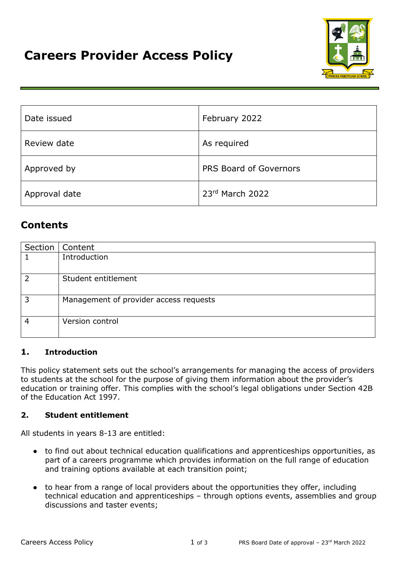

| Date issued   | February 2022          |  |
|---------------|------------------------|--|
| Review date   | As required            |  |
| Approved by   | PRS Board of Governors |  |
| Approval date | 23rd March 2022        |  |

# **Contents**

|   | Section   Content                      |
|---|----------------------------------------|
|   | Introduction                           |
|   |                                        |
| 2 | Student entitlement                    |
| 3 | Management of provider access requests |
| 4 | Version control                        |

# **1. Introduction**

This policy statement sets out the school's arrangements for managing the access of providers to students at the school for the purpose of giving them information about the provider's education or training offer. This complies with the school's legal obligations under Section 42B of the Education Act 1997.

## **2. Student entitlement**

All students in years 8-13 are entitled:

- to find out about technical education qualifications and apprenticeships opportunities, as part of a careers programme which provides information on the full range of education and training options available at each transition point;
- to hear from a range of local providers about the opportunities they offer, including technical education and apprenticeships – through options events, assemblies and group discussions and taster events;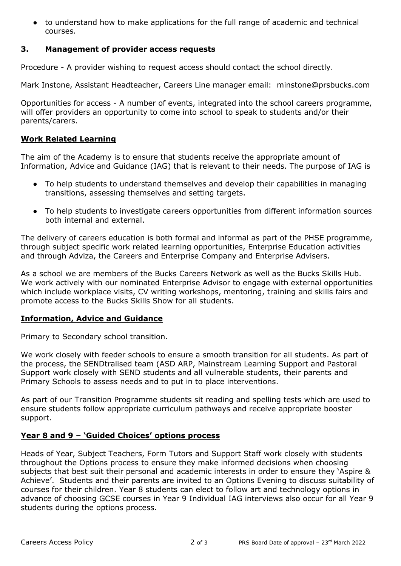● to understand how to make applications for the full range of academic and technical courses.

## **3. Management of provider access requests**

Procedure - A provider wishing to request access should contact the school directly.

Mark Instone, Assistant Headteacher, Careers Line manager email: minstone@prsbucks.com

Opportunities for access - A number of events, integrated into the school careers programme, will offer providers an opportunity to come into school to speak to students and/or their parents/carers.

#### **Work Related Learning**

The aim of the Academy is to ensure that students receive the appropriate amount of Information, Advice and Guidance (IAG) that is relevant to their needs. The purpose of IAG is

- To help students to understand themselves and develop their capabilities in managing transitions, assessing themselves and setting targets.
- To help students to investigate careers opportunities from different information sources both internal and external.

The delivery of careers education is both formal and informal as part of the PHSE programme, through subject specific work related learning opportunities, Enterprise Education activities and through Adviza, the Careers and Enterprise Company and Enterprise Advisers.

As a school we are members of the Bucks Careers Network as well as the Bucks Skills Hub. We work actively with our nominated Enterprise Advisor to engage with external opportunities which include workplace visits, CV writing workshops, mentoring, training and skills fairs and promote access to the Bucks Skills Show for all students.

### **Information, Advice and Guidance**

Primary to Secondary school transition.

We work closely with feeder schools to ensure a smooth transition for all students. As part of the process, the SENDtralised team (ASD ARP, Mainstream Learning Support and Pastoral Support work closely with SEND students and all vulnerable students, their parents and Primary Schools to assess needs and to put in to place interventions.

As part of our Transition Programme students sit reading and spelling tests which are used to ensure students follow appropriate curriculum pathways and receive appropriate booster support.

### **Year 8 and 9 – 'Guided Choices' options process**

Heads of Year, Subject Teachers, Form Tutors and Support Staff work closely with students throughout the Options process to ensure they make informed decisions when choosing subjects that best suit their personal and academic interests in order to ensure they 'Aspire & Achieve'. Students and their parents are invited to an Options Evening to discuss suitability of courses for their children. Year 8 students can elect to follow art and technology options in advance of choosing GCSE courses in Year 9 Individual IAG interviews also occur for all Year 9 students during the options process.